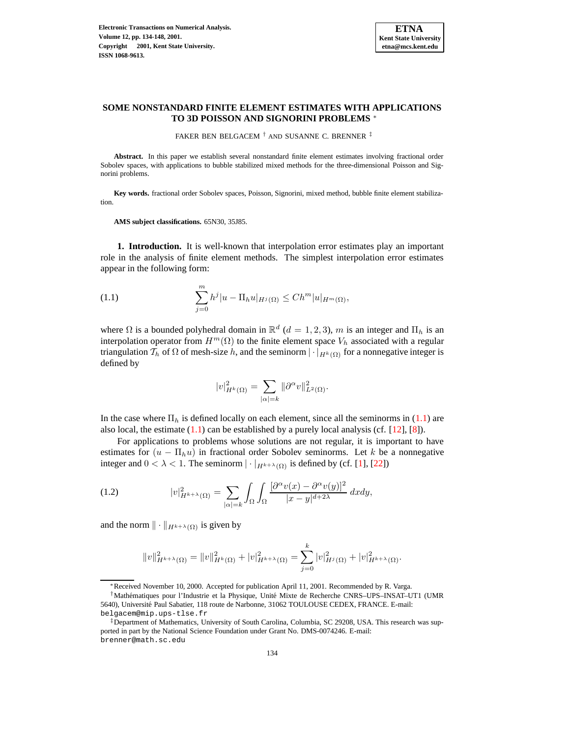

# **SOME NONSTANDARD FINITE ELEMENT ESTIMATES WITH APPLICATIONS TO 3D POISSON AND SIGNORINI PROBLEMS** <sup>∗</sup>

FAKER BEN BELGACEM † AND SUSANNE C. BRENNER ‡

**Abstract.** In this paper we establish several nonstandard finite element estimates involving fractional order Sobolev spaces, with applications to bubble stabilized mixed methods for the three-dimensional Poisson and Signorini problems.

**Key words.** fractional order Sobolev spaces, Poisson, Signorini, mixed method, bubble finite element stabilization.

**AMS subject classifications.** 65N30, 35J85.

**1. Introduction.** It is well-known that interpolation error estimates play an important role in the analysis of finite element methods. The simplest interpolation error estimates appear in the following form:

<span id="page-0-0"></span>(1.1) 
$$
\sum_{j=0}^{m} h^j |u - \Pi_h u|_{H^j(\Omega)} \leq Ch^m |u|_{H^m(\Omega)},
$$

where  $\Omega$  is a bounded polyhedral domain in  $\mathbb{R}^d$  ( $d = 1, 2, 3$ ), m is an integer and  $\Pi_h$  is an interpolation operator from  $H^m(\Omega)$  to the finite element space  $V_h$  associated with a regular triangulation  $\mathcal{T}_h$  of  $\Omega$  of mesh-size h, and the seminorm  $|\cdot|_{H^k(\Omega)}$  for a nonnegative integer is defined by

$$
|v|_{H^k(\Omega)}^2 = \sum_{|\alpha|=k} ||\partial^{\alpha}v||^2_{L^2(\Omega)}.
$$

In the case where  $\Pi_h$  is defined locally on each element, since all the seminorms in [\(1.1\)](#page-0-0) are also local, the estimate  $(1.1)$  can be established by a purely local analysis (cf.  $[12]$ ,  $[8]$ ).

For applications to problems whose solutions are not regular, it is important to have estimates for  $(u - \Pi_h u)$  in fractional order Sobolev seminorms. Let k be a nonnegative integer and  $0 < \lambda < 1$ . The seminorm  $|\cdot|_{H^{k+\lambda}(\Omega)}$  is defined by (cf. [\[1\]](#page-14-2), [\[22\]](#page-14-3))

<span id="page-0-1"></span>(1.2) 
$$
|v|_{H^{k+\lambda}(\Omega)}^2 = \sum_{|\alpha|=k} \int_{\Omega} \int_{\Omega} \frac{[\partial^{\alpha} v(x) - \partial^{\alpha} v(y)]^2}{|x - y|^{d + 2\lambda}} dxdy,
$$

and the norm  $\|\cdot\|_{H^{k+\lambda}(\Omega)}$  is given by

$$
||v||_{H^{k+\lambda}(\Omega)}^2 = ||v||_{H^k(\Omega)}^2 + |v|_{H^{k+\lambda}(\Omega)}^2 = \sum_{j=0}^k |v|_{H^j(\Omega)}^2 + |v|_{H^{k+\lambda}(\Omega)}^2.
$$

<sup>∗</sup>Received November 10, 2000. Accepted for publication April 11, 2001. Recommended by R. Varga.

<sup>&</sup>lt;sup>†</sup>Mathématiques pour l'Industrie et la Physique, Unité Mixte de Recherche CNRS–UPS–INSAT–UT1 (UMR 5640), Université Paul Sabatier, 118 route de Narbonne, 31062 TOULOUSE CEDEX, FRANCE. E-mail: belgacem@mip.ups-tlse.fr

<sup>‡</sup>Department of Mathematics, University of South Carolina, Columbia, SC 29208, USA. This research was supported in part by the National Science Foundation under Grant No. DMS-0074246. E-mail: brenner@math.sc.edu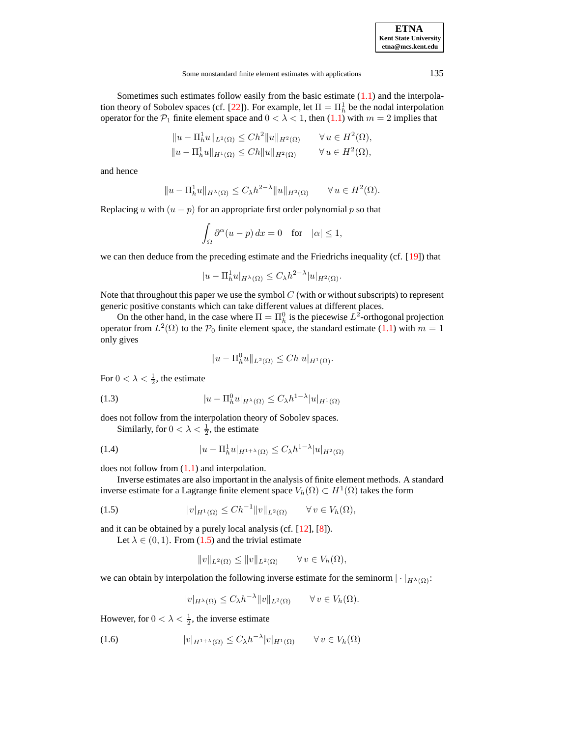Sometimes such estimates follow easily from the basic estimate [\(1.1\)](#page-0-0) and the interpola-tion theory of Sobolev spaces (cf. [\[22\]](#page-14-3)). For example, let  $\Pi = \Pi_h^1$  be the nodal interpolation operator for the  $P_1$  finite element space and  $0 < \lambda < 1$ , then  $(1.1)$  with  $m = 2$  implies that

$$
||u - \Pi_h^1 u||_{L^2(\Omega)} \le Ch^2 ||u||_{H^2(\Omega)} \qquad \forall u \in H^2(\Omega),
$$
  

$$
||u - \Pi_h^1 u||_{H^1(\Omega)} \le Ch ||u||_{H^2(\Omega)} \qquad \forall u \in H^2(\Omega),
$$

and hence

$$
||u - \Pi_h^1 u||_{H^{\lambda}(\Omega)} \le C_{\lambda} h^{2-\lambda} ||u||_{H^2(\Omega)} \qquad \forall u \in H^2(\Omega).
$$

Replacing u with  $(u - p)$  for an appropriate first order polynomial p so that

$$
\int_{\Omega} \partial^{\alpha} (u - p) \, dx = 0 \quad \text{for} \quad |\alpha| \le 1,
$$

we can then deduce from the preceding estimate and the Friedrichs inequality (cf. [\[19\]](#page-14-4)) that

$$
|u - \Pi_h^1 u|_{H^{\lambda}(\Omega)} \le C_{\lambda} h^{2-\lambda} |u|_{H^2(\Omega)}.
$$

Note that throughout this paper we use the symbol  $C$  (with or without subscripts) to represent generic positive constants which can take different values at different places.

On the other hand, in the case where  $\Pi = \Pi_h^0$  is the piecewise  $L^2$ -orthogonal projection operator from  $L^2(\Omega)$  to the  $\mathcal{P}_0$  finite element space, the standard estimate [\(1.1\)](#page-0-0) with  $m = 1$ only gives

$$
||u - \Pi_h^0 u||_{L^2(\Omega)} \le Ch|u|_{H^1(\Omega)}.
$$

For  $0 < \lambda < \frac{1}{2}$ , the estimate

(1.3) 
$$
|u - \Pi_h^0 u|_{H^{\lambda}(\Omega)} \le C_{\lambda} h^{1-\lambda} |u|_{H^1(\Omega)}
$$

does not follow from the interpolation theory of Sobolev spaces.

<span id="page-1-2"></span><span id="page-1-1"></span>Similarly, for  $0 < \lambda < \frac{1}{2}$ , the estimate

(1.4) 
$$
|u - \Pi_h^1 u|_{H^{1+\lambda}(\Omega)} \le C_{\lambda} h^{1-\lambda} |u|_{H^2(\Omega)}
$$

does not follow from [\(1.1\)](#page-0-0) and interpolation.

Inverse estimates are also important in the analysis of finite element methods. A standard inverse estimate for a Lagrange finite element space  $V_h(\Omega) \subset H^1(\Omega)$  takes the form

<span id="page-1-0"></span>
$$
(1.5) \t\t\t |v|_{H^1(\Omega)} \le Ch^{-1} \|v\|_{L^2(\Omega)} \t \forall v \in V_h(\Omega),
$$

and it can be obtained by a purely local analysis (cf. [\[12\]](#page-14-0), [\[8\]](#page-14-1)).

Let  $\lambda \in (0, 1)$ . From [\(1.5\)](#page-1-0) and the trivial estimate

$$
||v||_{L^2(\Omega)} \le ||v||_{L^2(\Omega)} \qquad \forall \, v \in V_h(\Omega),
$$

we can obtain by interpolation the following inverse estimate for the seminorm  $|\cdot|_{H^{\lambda}(\Omega)}$ :

$$
|v|_{H^{\lambda}(\Omega)} \leq C_{\lambda} h^{-\lambda} ||v||_{L^{2}(\Omega)} \qquad \forall v \in V_{h}(\Omega).
$$

However, for  $0 < \lambda < \frac{1}{2}$ , the inverse estimate

<span id="page-1-3"></span>(1.6) 
$$
|v|_{H^{1+\lambda}(\Omega)} \leq C_{\lambda} h^{-\lambda} |v|_{H^1(\Omega)} \qquad \forall v \in V_h(\Omega)
$$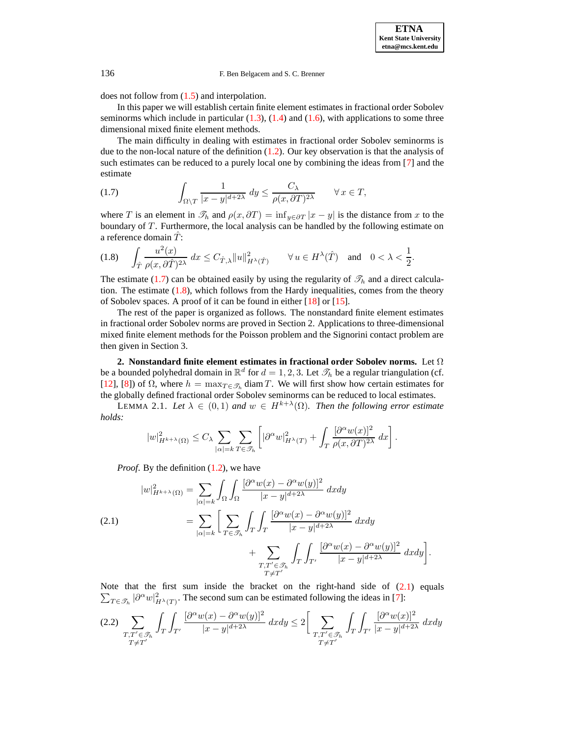does not follow from [\(1.5\)](#page-1-0) and interpolation.

In this paper we will establish certain finite element estimates in fractional order Sobolev seminorms which include in particular  $(1.3)$ ,  $(1.4)$  and  $(1.6)$ , with applications to some three dimensional mixed finite element methods.

The main difficulty in dealing with estimates in fractional order Sobolev seminorms is due to the non-local nature of the definition  $(1.2)$ . Our key observation is that the analysis of such estimates can be reduced to a purely local one by combining the ideas from [\[7\]](#page-14-5) and the estimate

<span id="page-2-0"></span>(1.7) 
$$
\int_{\Omega \setminus T} \frac{1}{|x - y|^{d + 2\lambda}} dy \leq \frac{C_{\lambda}}{\rho(x, \partial T)^{2\lambda}} \quad \forall x \in T,
$$

where T is an element in  $\mathcal{T}_h$  and  $\rho(x, \partial T) = \inf_{y \in \partial T} |x - y|$  is the distance from x to the boundary of  $T$ . Furthermore, the local analysis can be handled by the following estimate on a reference domain  $\hat{T}$ :

<span id="page-2-1"></span>
$$
(1.8) \quad \int_{\hat{T}} \frac{u^2(x)}{\rho(x,\partial \hat{T})^{2\lambda}} \, dx \le C_{\hat{T},\lambda} \|u\|_{H^{\lambda}(\hat{T})}^2 \qquad \forall \, u \in H^{\lambda}(\hat{T}) \quad \text{and} \quad 0 < \lambda < \frac{1}{2}.
$$

The estimate [\(1.7\)](#page-2-0) can be obtained easily by using the regularity of  $\mathcal{T}_h$  and a direct calculation. The estimate  $(1.8)$ , which follows from the Hardy inequalities, comes from the theory of Sobolev spaces. A proof of it can be found in either [\[18\]](#page-14-6) or [\[15\]](#page-14-7).

The rest of the paper is organized as follows. The nonstandard finite element estimates in fractional order Sobolev norms are proved in Section 2. Applications to three-dimensional mixed finite element methods for the Poisson problem and the Signorini contact problem are then given in Section 3.

**2. Nonstandard finite element estimates in fractional order Sobolev norms.** Let Ω be a bounded polyhedral domain in  $\mathbb{R}^d$  for  $d = 1, 2, 3$ . Let  $\mathscr{T}_h$  be a regular triangulation (cf. [\[12\]](#page-14-0), [\[8\]](#page-14-1)) of  $\Omega$ , where  $h = \max_{T \in \mathcal{T}_h} \text{diam } T$ . We will first show how certain estimates for the globally defined fractional order Sobolev seminorms can be reduced to local estimates.

LEMMA 2.1. Let  $\lambda \in (0,1)$  and  $w \in H^{k+\lambda}(\Omega)$ . Then the following error estimate *holds:*

<span id="page-2-4"></span>
$$
|w|_{H^{k+\lambda}(\Omega)}^2 \leq C_{\lambda} \sum_{|\alpha|=k} \sum_{T \in \mathcal{I}_h} \left[ |\partial^{\alpha} w|_{H^{\lambda}(T)}^2 + \int_T \frac{[\partial^{\alpha} w(x)]^2}{\rho(x, \partial T)^{2\lambda}} dx \right].
$$

*Proof.* By the definition  $(1.2)$ , we have

<span id="page-2-2"></span>
$$
|w|_{H^{k+\lambda}(\Omega)}^2 = \sum_{|\alpha|=k} \int_{\Omega} \int_{\Omega} \frac{[\partial^{\alpha} w(x) - \partial^{\alpha} w(y)]^2}{|x - y|^{d + 2\lambda}} dxdy
$$
  
(2.1)  

$$
= \sum_{|\alpha|=k} \left[ \sum_{T \in \mathcal{F}_h} \int_{T} \int_{T} \frac{[\partial^{\alpha} w(x) - \partial^{\alpha} w(y)]^2}{|x - y|^{d + 2\lambda}} dxdy + \sum_{\substack{T, T' \in \mathcal{F}_h \\ T \neq T'}} \int_{T} \int_{T'} \int_{T'} \frac{[\partial^{\alpha} w(x) - \partial^{\alpha} w(y)]^2}{|x - y|^{d + 2\lambda}} dxdy \right].
$$

Note that the first sum inside the bracket on the right-hand side of  $(2.1)$  equals  $\sum_{T \in \mathcal{T}_h} |\partial^{\alpha} w|_{H^{\lambda}(T)}^2$ . The second sum can be estimated following the ideas in [\[7\]](#page-14-5):

<span id="page-2-3"></span>
$$
(2.2) \sum_{\substack{T,T' \in \mathcal{F}_h \\ T \neq T'}} \int_T \int_{T'} \frac{[\partial^\alpha w(x) - \partial^\alpha w(y)]^2}{|x - y|^{d + 2\lambda}} dx dy \le 2 \bigg[ \sum_{\substack{T,T' \in \mathcal{F}_h \\ T \neq T'}} \int_T \int_{T'} \frac{[\partial^\alpha w(x)]^2}{|x - y|^{d + 2\lambda}} dx dy \bigg]
$$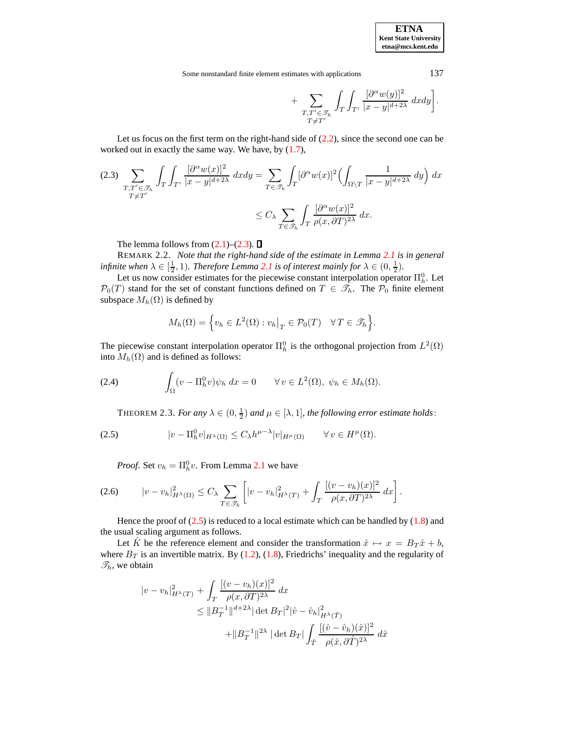Some nonstandard finite element estimates with applications 137

$$
+\sum_{\substack{T,T'\in\mathscr{T}_h\\T\neq T'}}\int_T\int_{T'}\frac{[\partial^\alpha w(y)]^2}{|x-y|^{d+2\lambda}}\;dxdy\bigg].
$$

Let us focus on the first term on the right-hand side of  $(2.2)$ , since the second one can be worked out in exactly the same way. We have, by  $(1.7)$ ,

<span id="page-3-0"></span>
$$
(2.3) \sum_{\substack{T,T' \in \mathcal{I}_h \\ T \neq T'}} \int_T \int_{T'} \frac{[\partial^\alpha w(x)]^2}{|x-y|^{d+2\lambda}} dx dy = \sum_{T \in \mathcal{I}_h} \int_T [\partial^\alpha w(x)]^2 \left( \int_{\Omega \setminus T} \frac{1}{|x-y|^{d+2\lambda}} dy \right) dx
$$

$$
\leq C_\lambda \sum_{T \in \mathcal{I}_h} \int_T \frac{[\partial^\alpha w(x)]^2}{\rho(x, \partial T)^{2\lambda}} dx.
$$

The lemma follows from  $(2.1)$ – $(2.3)$ .  $\Box$ 

REMARK 2.2. *Note that the right-hand side of the estimate in Lemma [2.1](#page-2-4) is in general infinite* when  $\lambda \in [\frac{1}{2}, 1)$ *. Therefore Lemma [2.1](#page-2-4) is of interest mainly for*  $\lambda \in (0, \frac{1}{2})$ *.* 

Let us now consider estimates for the piecewise constant interpolation operator  $\Pi_h^0$ . Let  $\mathcal{P}_0(T)$  stand for the set of constant functions defined on  $T \in \mathcal{I}_h$ . The  $\mathcal{P}_0$  finite element subspace  $M_h(\Omega)$  is defined by

$$
M_h(\Omega) = \left\{ v_h \in L^2(\Omega) : v_h \big|_T \in \mathcal{P}_0(T) \quad \forall T \in \mathcal{F}_h \right\}.
$$

The piecewise constant interpolation operator  $\Pi_h^0$  is the orthogonal projection from  $L^2(\Omega)$ into  $M_h(\Omega)$  and is defined as follows:

<span id="page-3-4"></span><span id="page-3-3"></span>(2.4) 
$$
\int_{\Omega} (v - \Pi_h^0 v) \psi_h \, dx = 0 \qquad \forall v \in L^2(\Omega), \ \psi_h \in M_h(\Omega).
$$

THEOREM 2.3. *For any*  $\lambda \in (0, \frac{1}{2})$  *and*  $\mu \in [\lambda, 1]$ *, the following error estimate holds*:

<span id="page-3-1"></span>
$$
(2.5) \t\t |v - \Pi_h^0 v|_{H^{\lambda}(\Omega)} \le C_{\lambda} h^{\mu-\lambda} |v|_{H^{\mu}(\Omega)} \t \forall v \in H^{\mu}(\Omega).
$$

*Proof.* Set  $v_h = \Pi_h^0 v$ . From Lemma [2.1](#page-2-4) we have

<span id="page-3-2"></span>
$$
(2.6) \t\t |v - v_h|_{H^{\lambda}(\Omega)}^2 \leq C_{\lambda} \sum_{T \in \mathcal{I}_h} \left[ |v - v_h|_{H^{\lambda}(T)}^2 + \int_T \frac{[(v - v_h)(x)]^2}{\rho(x, \partial T)^{2\lambda}} dx \right].
$$

Hence the proof of  $(2.5)$  is reduced to a local estimate which can be handled by  $(1.8)$  and the usual scaling argument as follows.

Let  $\hat{K}$  be the reference element and consider the transformation  $\hat{x} \mapsto x = B_T \hat{x} + b$ , where  $B_T$  is an invertible matrix. By [\(1.2\)](#page-0-1), [\(1.8\)](#page-2-1), Friedrichs' inequality and the regularity of  $\mathcal{I}_h$ , we obtain

$$
|v - v_h|_{H^{\lambda}(T)}^2 + \int_T \frac{[(v - v_h)(x)]^2}{\rho(x, \partial T)^{2\lambda}} dx
$$
  
\n
$$
\leq ||B_T^{-1}||^{d+2\lambda} |\det B_T|^2 |\hat{v} - \hat{v}_h|_{H^{\lambda}(\hat{T})}^2
$$
  
\n
$$
+ ||B_T^{-1}||^{2\lambda} |\det B_T| \int_{\hat{T}} \frac{[(\hat{v} - \hat{v}_h)(\hat{x})]^2}{\rho(\hat{x}, \partial \hat{T})^{2\lambda}} d\hat{x}
$$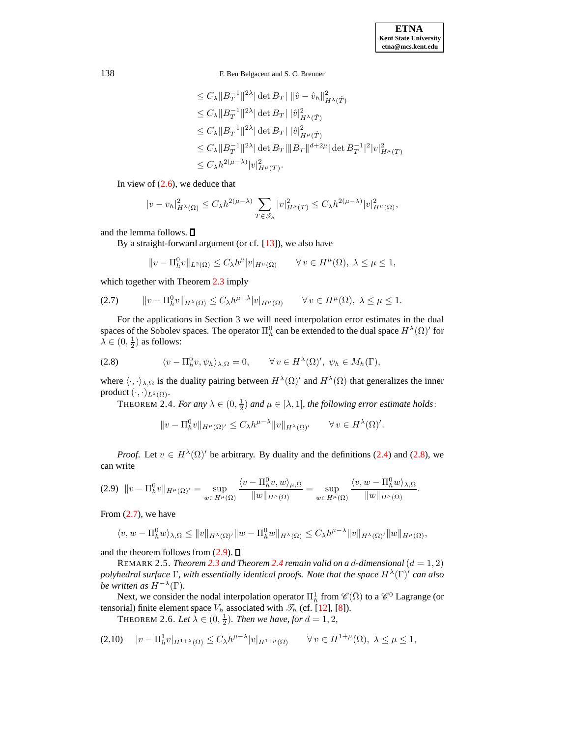$$
\leq C_{\lambda} \|B_T^{-1}\|^{2\lambda} |\det B_T| \|\hat{v} - \hat{v}_h\|_{H^{\lambda}(\hat{T})}^2
$$
  
\n
$$
\leq C_{\lambda} \|B_T^{-1}\|^{2\lambda} |\det B_T| \|\hat{v}\|_{H^{\lambda}(\hat{T})}^2
$$
  
\n
$$
\leq C_{\lambda} \|B_T^{-1}\|^{2\lambda} |\det B_T| \|\hat{v}\|_{H^{\mu}(\hat{T})}^2
$$
  
\n
$$
\leq C_{\lambda} \|B_T^{-1}\|^{2\lambda} |\det B_T| \|B_T\|^{d+2\mu} |\det B_T^{-1}|^2 |v|_{H^{\mu}(T)}^2
$$
  
\n
$$
\leq C_{\lambda} h^{2(\mu-\lambda)} |v|_{H^{\mu}(T)}^2.
$$

In view of  $(2.6)$ , we deduce that

$$
|v - v_h|_{H^{\lambda}(\Omega)}^2 \le C_{\lambda} h^{2(\mu - \lambda)} \sum_{T \in \mathcal{T}_h} |v|_{H^{\mu}(T)}^2 \le C_{\lambda} h^{2(\mu - \lambda)} |v|_{H^{\mu}(\Omega)}^2,
$$

and the lemma follows.

By a straight-forward argument (or cf.  $[13]$ ), we also have

$$
||v - \Pi_h^0 v||_{L^2(\Omega)} \le C_\lambda h^\mu |v|_{H^\mu(\Omega)} \qquad \forall \, v \in H^\mu(\Omega), \ \lambda \le \mu \le 1,
$$

which together with Theorem [2.3](#page-3-3) imply

<span id="page-4-1"></span>
$$
(2.7) \t\t ||v - \Pi_h^0 v||_{H^{\lambda}(\Omega)} \le C_{\lambda} h^{\mu-\lambda} |v|_{H^{\mu}(\Omega)} \t\t \forall v \in H^{\mu}(\Omega), \ \lambda \le \mu \le 1.
$$

For the applications in Section 3 we will need interpolation error estimates in the dual spaces of the Sobolev spaces. The operator  $\Pi_h^0$  can be extended to the dual space  $H^{\lambda}(\Omega)'$  for  $\lambda \in (0, \frac{1}{2})$  as follows:

<span id="page-4-0"></span>
$$
(2.8) \qquad \qquad \langle v - \Pi_h^0 v, \psi_h \rangle_{\lambda, \Omega} = 0, \qquad \forall v \in H^{\lambda}(\Omega)', \ \psi_h \in M_h(\Gamma),
$$

<span id="page-4-3"></span>where  $\langle \cdot, \cdot \rangle_{\lambda,\Omega}$  is the duality pairing between  $H^{\lambda}(\Omega)'$  and  $H^{\lambda}(\Omega)$  that generalizes the inner product  $(\cdot, \cdot)_{L^2(\Omega)}$ .

THEOREM 2.4. *For any*  $\lambda \in (0, \frac{1}{2})$  *and*  $\mu \in [\lambda, 1]$ *, the following error estimate holds*:

$$
||v - \Pi_h^0 v||_{H^{\mu}(\Omega)'} \leq C_{\lambda} h^{\mu-\lambda} ||v||_{H^{\lambda}(\Omega)'} \qquad \forall v \in H^{\lambda}(\Omega)'.
$$

*Proof.* Let  $v \in H^{\lambda}(\Omega)'$  be arbitrary. By duality and the definitions [\(2.4\)](#page-3-4) and [\(2.8\)](#page-4-0), we can write

<span id="page-4-2"></span>
$$
(2.9) \quad \|v - \Pi_h^0 v\|_{H^{\mu}(\Omega)'} = \sup_{w \in H^{\mu}(\Omega)} \frac{\langle v - \Pi_h^0 v, w \rangle_{\mu, \Omega}}{\|w\|_{H^{\mu}(\Omega)}} = \sup_{w \in H^{\mu}(\Omega)} \frac{\langle v, w - \Pi_h^0 w \rangle_{\lambda, \Omega}}{\|w\|_{H^{\mu}(\Omega)}}.
$$

From  $(2.7)$ , we have

$$
\langle v, w - \Pi_h^0 w \rangle_{\lambda, \Omega} \le ||v||_{H^{\lambda}(\Omega)'} ||w - \Pi_h^0 w||_{H^{\lambda}(\Omega)} \le C_{\lambda} h^{\mu-\lambda} ||v||_{H^{\lambda}(\Omega)'} ||w||_{H^{\mu}(\Omega)},
$$

and the theorem follows from  $(2.9)$ .  $\Box$ 

REMARK 2.5. *Theorem [2.3](#page-3-3) and Theorem [2.4](#page-4-3) remain valid on a d-dimensional*  $(d = 1, 2)$ *polyhedral surface* Γ*, with essentially identical proofs. Note that the space* H<sup>λ</sup> (Γ)<sup>0</sup> *can also be written as*  $H^{-\lambda}(\Gamma)$ *.* 

Next, we consider the nodal interpolation operator  $\Pi^1_h$  from  $\mathscr{C}(\bar{\Omega})$  to a  $\mathscr{C}^0$  Lagrange (or tensorial) finite element space  $V_h$  associated with  $\mathcal{T}_h$  (cf. [\[12\]](#page-14-0), [\[8\]](#page-14-1)).

**THEOREM 2.6.** Let  $\lambda \in (0, \frac{1}{2})$ . Then we have, for  $d = 1, 2$ ,

<span id="page-4-4"></span>
$$
(2.10) \quad |v - \Pi_h^1 v|_{H^{1+\lambda}(\Omega)} \le C_\lambda h^{\mu-\lambda} |v|_{H^{1+\mu}(\Omega)} \qquad \forall \, v \in H^{1+\mu}(\Omega), \, \lambda \le \mu \le 1,
$$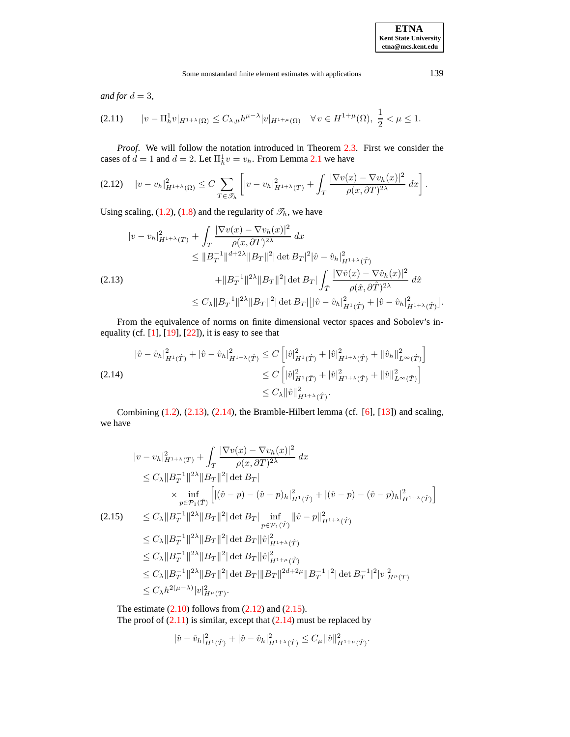*and for*  $d = 3$ *,* 

<span id="page-5-4"></span>
$$
(2.11) \t|v - \Pi_h^1 v|_{H^{1+\lambda}(\Omega)} \leq C_{\lambda,\mu} h^{\mu-\lambda} |v|_{H^{1+\mu}(\Omega)} \quad \forall \, v \in H^{1+\mu}(\Omega), \, \frac{1}{2} < \mu \leq 1.
$$

*Proof*. We will follow the notation introduced in Theorem [2.3.](#page-3-3) First we consider the cases of  $d = 1$  and  $d = 2$ . Let  $\Pi_h^1 v = v_h$ . From Lemma [2.1](#page-2-4) we have

<span id="page-5-2"></span>
$$
(2.12) \quad |v - v_h|_{H^{1+\lambda}(\Omega)}^2 \le C \sum_{T \in \mathcal{I}_h} \left[ |v - v_h|_{H^{1+\lambda}(T)}^2 + \int_T \frac{|\nabla v(x) - \nabla v_h(x)|^2}{\rho(x, \partial T)^{2\lambda}} \, dx \right].
$$

Using scaling, [\(1.2\)](#page-0-1), [\(1.8\)](#page-2-1) and the regularity of  $\mathcal{T}_h$ , we have

<span id="page-5-0"></span>
$$
|v - v_h|_{H^{1+\lambda}(T)}^2 + \int_T \frac{|\nabla v(x) - \nabla v_h(x)|^2}{\rho(x, \partial T)^{2\lambda}} dx
$$
  
\n
$$
\leq \|B_T^{-1}\|^{d+2\lambda} \|B_T\|^2 |\det B_T|^2 |\hat{v} - \hat{v}_h|_{H^{1+\lambda}(\hat{T})}^2
$$
  
\n(2.13)  
\n
$$
+ \|B_T^{-1}\|^{2\lambda} \|B_T\|^2 |\det B_T| \int_{\hat{T}} \frac{|\nabla \hat{v}(x) - \nabla \hat{v}_h(x)|^2}{\rho(\hat{x}, \partial \hat{T})^{2\lambda}} d\hat{x}
$$
  
\n
$$
\leq C_{\lambda} \|B_T^{-1}\|^2 |\det B_T|\Big[|\hat{v} - \hat{v}_h|_{H^1(\hat{T})}^2 + |\hat{v} - \hat{v}_h|_{H^{1+\lambda}(\hat{T})}^2].
$$

From the equivalence of norms on finite dimensional vector spaces and Sobolev's inequality (cf.  $[1]$ ,  $[19]$ ,  $[22]$ ), it is easy to see that

<span id="page-5-1"></span>
$$
\|\hat{v} - \hat{v}_h\|_{H^1(\hat{T})}^2 + |\hat{v} - \hat{v}_h|_{H^{1+\lambda}(\hat{T})}^2 \le C \left[ \|\hat{v}\|_{H^1(\hat{T})}^2 + \|\hat{v}\|_{H^{1+\lambda}(\hat{T})}^2 + \|\hat{v}_h\|_{L^\infty(\hat{T})}^2 \right]
$$
\n
$$
\le C \left[ \|\hat{v}\|_{H^1(\hat{T})}^2 + \|\hat{v}\|_{H^{1+\lambda}(\hat{T})}^2 + \|\hat{v}\|_{L^\infty(\hat{T})}^2 \right]
$$
\n
$$
\le C_\lambda \|\hat{v}\|_{H^{1+\lambda}(\hat{T})}^2.
$$

Combining  $(1.2)$ ,  $(2.13)$ ,  $(2.14)$ , the Bramble-Hilbert lemma (cf.  $[6]$ ,  $[13]$ ) and scaling, we have

<span id="page-5-3"></span>
$$
|v - v_h|_{H^{1+\lambda}(T)}^2 + \int_T \frac{|\nabla v(x) - \nabla v_h(x)|^2}{\rho(x, \partial T)^{2\lambda}} dx
$$
  
\n
$$
\leq C_{\lambda} ||B_T^{-1}||^{2\lambda} ||B_T||^2 |\det B_T|
$$
  
\n
$$
\times \inf_{p \in \mathcal{P}_1(\hat{T})} \left[ |(\hat{v} - p) - (\hat{v} - p)_h|_{H^1(\hat{T})}^2 + |(\hat{v} - p) - (\hat{v} - p)_h|_{H^{1+\lambda}(\hat{T})}^2 \right]
$$
  
\n(2.15) 
$$
\leq C_{\lambda} ||B_T^{-1}||^{2\lambda} ||B_T||^2 |\det B_T| \inf_{p \in \mathcal{P}_1(\hat{T})} ||\hat{v} - p||_{H^{1+\lambda}(\hat{T})}^2
$$
  
\n
$$
\leq C_{\lambda} ||B_T^{-1}||^{2\lambda} ||B_T||^2 |\det B_T||\hat{v}|_{H^{1+\lambda}(\hat{T})}^2
$$
  
\n
$$
\leq C_{\lambda} ||B_T^{-1}||^{2\lambda} ||B_T||^2 |\det B_T||\hat{v}|_{H^{1+\mu}(\hat{T})}^2
$$
  
\n
$$
\leq C_{\lambda} ||B_T^{-1}||^{2\lambda} ||B_T||^2 |\det B_T||\hat{v}|_{H^{1+\mu}(\hat{T})}^2
$$
  
\n
$$
\leq C_{\lambda} ||B_T^{-1}||^{2\lambda} ||B_T||^2 |\det B_T|| ||B_T||^{2d+2\mu} ||B_T^{-1}||^2 |\det B_T^{-1}|^2 |v|_{H^{\mu}(T)}^2
$$
  
\n
$$
\leq C_{\lambda} h^{2(\mu-\lambda)} |v|_{H^{\mu}(T)}^2.
$$

The estimate  $(2.10)$  follows from  $(2.12)$  and  $(2.15)$ . The proof of  $(2.11)$  is similar, except that  $(2.14)$  must be replaced by

$$
|\hat{v}-\hat{v}_h|^2_{H^1(\hat{T})}+|\hat{v}-\hat{v}_h|^2_{H^{1+\lambda}(\hat{T})}\leq C_\mu\|\hat{v}\|^2_{H^{1+\mu}(\hat{T})}.
$$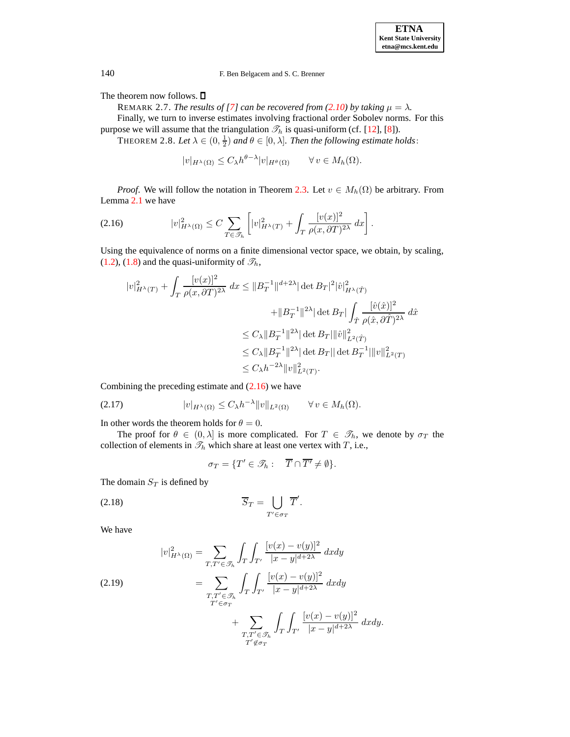The theorem now follows.  $\square$ 

REMARK 2.7. *The results of* [\[7\]](#page-14-5) *can be recovered from* [\(2.10\)](#page-4-4) *by taking*  $\mu = \lambda$ *.* 

Finally, we turn to inverse estimates involving fractional order Sobolev norms. For this purpose we will assume that the triangulation  $\mathcal{T}_h$  is quasi-uniform (cf. [\[12\]](#page-14-0), [\[8\]](#page-14-1)).

THEOREM 2.8. Let  $\lambda \in (0, \frac{1}{2})$  and  $\theta \in [0, \lambda]$ . Then the following estimate holds:

 $|v|_{H^{\lambda}(\Omega)} \leq C_{\lambda} h^{\theta-\lambda} |v|_{H^{\theta}(\Omega)} \qquad \forall v \in M_h(\Omega).$ 

*Proof.* We will follow the notation in Theorem [2.3.](#page-3-3) Let  $v \in M_h(\Omega)$  be arbitrary. From Lemma [2.1](#page-2-4) we have

<span id="page-6-0"></span>
$$
(2.16) \t\t |v|_{H^{\lambda}(\Omega)}^2 \leq C \sum_{T \in \mathcal{I}_h} \left[ |v|_{H^{\lambda}(T)}^2 + \int_T \frac{[v(x)]^2}{\rho(x, \partial T)^{2\lambda}} dx \right].
$$

Using the equivalence of norms on a finite dimensional vector space, we obtain, by scaling,  $(1.2)$ ,  $(1.8)$  and the quasi-uniformity of  $\mathcal{T}_h$ ,

$$
\begin{aligned} |v|_{H^\lambda(T)}^2 + \int_T \frac{[v(x)]^2}{\rho(x,\partial T)^{2\lambda}} \, dx &\leq \|B_T^{-1}\|^{d+2\lambda} |\det B_T|^2 |\hat{v}|_{H^\lambda(\hat{T})}^2 \\ &\quad + \|B_T^{-1}\|^{2\lambda} |\det B_T| \int_{\hat{T}} \frac{[\hat{v}(\hat{x})]^2}{\rho(\hat{x},\partial \hat{T})^{2\lambda}} \, d\hat{x} \\ &\leq C_\lambda \|B_T^{-1}\|^{2\lambda} |\det B_T| \|\hat{v}\|_{L^2(\hat{T})}^2 \\ &\leq C_\lambda \|B_T^{-1}\|^2^\lambda |\det B_T| \|\det B_T^{-1}\| \|v\|_{L^2(T)}^2 \\ &\leq C_\lambda h^{-2\lambda} \|v\|_{L^2(T)}^2. \end{aligned}
$$

Combining the preceding estimate and  $(2.16)$  we have

<span id="page-6-3"></span>
$$
(2.17) \t\t |v|_{H^{\lambda}(\Omega)} \leq C_{\lambda} h^{-\lambda} \|v\|_{L^{2}(\Omega)} \t \forall v \in M_{h}(\Omega).
$$

In other words the theorem holds for  $\theta = 0$ .

The proof for  $\theta \in (0, \lambda]$  is more complicated. For  $T \in \mathcal{T}_h$ , we denote by  $\sigma_T$  the collection of elements in  $\mathcal{T}_h$  which share at least one vertex with T, i.e.,

<span id="page-6-2"></span>
$$
\sigma_T = \{ T' \in \mathcal{S}_h : \quad \overline{T} \cap \overline{T'} \neq \emptyset \}.
$$

The domain  $S_T$  is defined by

$$
\overline{S}_T = \bigcup_{T' \in \sigma_T} \overline{T}'.
$$

We have

<span id="page-6-1"></span>(2.19)  
\n
$$
|v|_{H^{\lambda}(\Omega)}^2 = \sum_{T,T' \in \mathcal{F}_h} \int_T \int_{T'} \frac{[v(x) - v(y)]^2}{|x - y|^{d + 2\lambda}} dxdy
$$
\n
$$
= \sum_{\substack{T,T' \in \mathcal{F}_h \\ T' \in \sigma_T}} \int_T \int_{T'} \frac{[v(x) - v(y)]^2}{|x - y|^{d + 2\lambda}} dxdy
$$
\n
$$
+ \sum_{\substack{T,T' \in \mathcal{F}_h \\ T' \notin \sigma_T}} \int_T \int_{T'} \frac{[v(x) - v(y)]^2}{|x - y|^{d + 2\lambda}} dxdy.
$$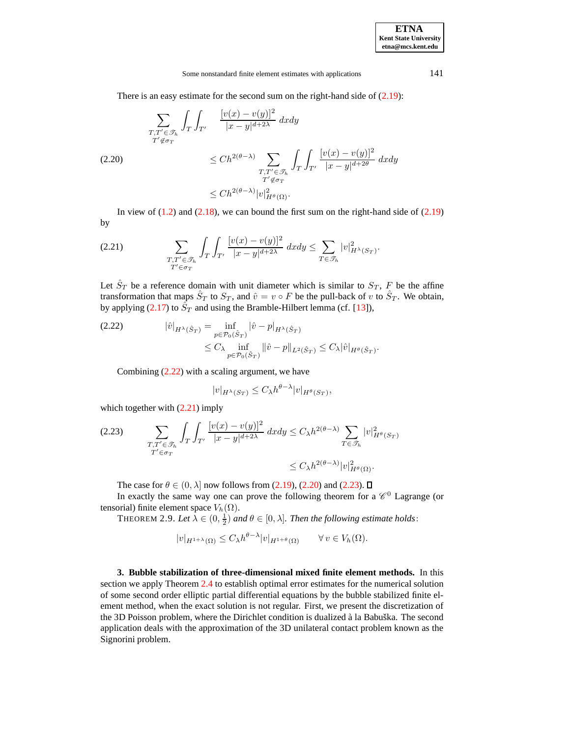## Some nonstandard finite element estimates with applications 141

There is an easy estimate for the second sum on the right-hand side of  $(2.19)$ :

<span id="page-7-2"></span>
$$
\sum_{\substack{T,T' \in \mathcal{F}_h \\ T' \notin \sigma_T}} \int_T \int_{T'} \frac{[v(x) - v(y)]^2}{|x - y|^{d + 2\lambda}} dxdy
$$
\n
$$
\leq Ch^{2(\theta - \lambda)} \sum_{\substack{T,T' \in \mathcal{F}_h \\ T' \notin \sigma_T}} \int_T \int_{T'} \frac{[v(x) - v(y)]^2}{|x - y|^{d + 2\theta}} dxdy
$$
\n
$$
\leq Ch^{2(\theta - \lambda)} |v|_{H^{\theta}(\Omega)}^2.
$$

In view of  $(1.2)$  and  $(2.18)$ , we can bound the first sum on the right-hand side of  $(2.19)$ by

<span id="page-7-1"></span>
$$
(2.21) \qquad \qquad \sum_{\substack{T,T'\in\mathcal{T}_h\\T'\in\sigma_T}}\int_T\int_{T'}\frac{[v(x)-v(y)]^2}{|x-y|^{d+2\lambda}}\;dxdy\leq \sum_{T\in\mathcal{F}_h}|v|_{H^\lambda(S_T)}^2.
$$

Let  $\hat{S}_T$  be a reference domain with unit diameter which is similar to  $S_T$ , F be the affine transformation that maps  $\hat{S}_T$  to  $S_T$ , and  $\hat{v} = v \circ F$  be the pull-back of v to  $\hat{S}_T$ . We obtain, by applying [\(2.17\)](#page-6-3) to  $\tilde{S}_T$  and using the Bramble-Hilbert lemma (cf. [\[13\]](#page-14-8)),

<span id="page-7-0"></span>(2.22) 
$$
|\hat{v}|_{H^{\lambda}(\hat{S}_T)} = \inf_{p \in \mathcal{P}_0(\hat{S}_T)} |\hat{v} - p|_{H^{\lambda}(\hat{S}_T)}
$$

$$
\leq C_{\lambda} \inf_{p \in \mathcal{P}_0(\hat{S}_T)} ||\hat{v} - p||_{L^2(\hat{S}_T)} \leq C_{\lambda} |\hat{v}|_{H^{\theta}(\hat{S}_T)}.
$$

Combining  $(2.22)$  with a scaling argument, we have

$$
|v|_{H^{\lambda}(S_T)} \leq C_{\lambda} h^{\theta-\lambda} |v|_{H^{\theta}(S_T)},
$$

which together with  $(2.21)$  imply

<span id="page-7-3"></span>
$$
(2.23) \qquad \sum_{\substack{T,T' \in \mathcal{F}_h \\ T' \in \sigma_T}} \int_T \int_{T'} \frac{[v(x) - v(y)]^2}{|x - y|^{d + 2\lambda}} dx dy \le C_{\lambda} h^{2(\theta - \lambda)} \sum_{T \in \mathcal{F}_h} |v|_{H^{\theta}(S_T)}^2
$$

$$
\le C_{\lambda} h^{2(\theta - \lambda)} |v|_{H^{\theta}(\Omega)}^2.
$$

The case for  $\theta \in (0, \lambda]$  now follows from [\(2.19\)](#page-6-1), [\(2.20\)](#page-7-2) and [\(2.23\)](#page-7-3).  $\square$ 

In exactly the same way one can prove the following theorem for a  $\mathscr{C}^0$  Lagrange (or tensorial) finite element space  $V_h(\Omega)$ .

THEOREM 2.9. Let  $\lambda \in (0, \frac{1}{2})$  and  $\theta \in [0, \lambda]$ . Then the following estimate holds:

$$
|v|_{H^{1+\lambda}(\Omega)} \leq C_{\lambda} h^{\theta-\lambda} |v|_{H^{1+\theta}(\Omega)} \qquad \forall v \in V_h(\Omega).
$$

**3. Bubble stabilization of three-dimensional mixed finite element methods.** In this section we apply Theorem [2.4](#page-4-3) to establish optimal error estimates for the numerical solution of some second order elliptic partial differential equations by the bubble stabilized finite element method, when the exact solution is not regular. First, we present the discretization of the 3D Poisson problem, where the Dirichlet condition is dualized à la Babuška. The second application deals with the approximation of the 3D unilateral contact problem known as the Signorini problem.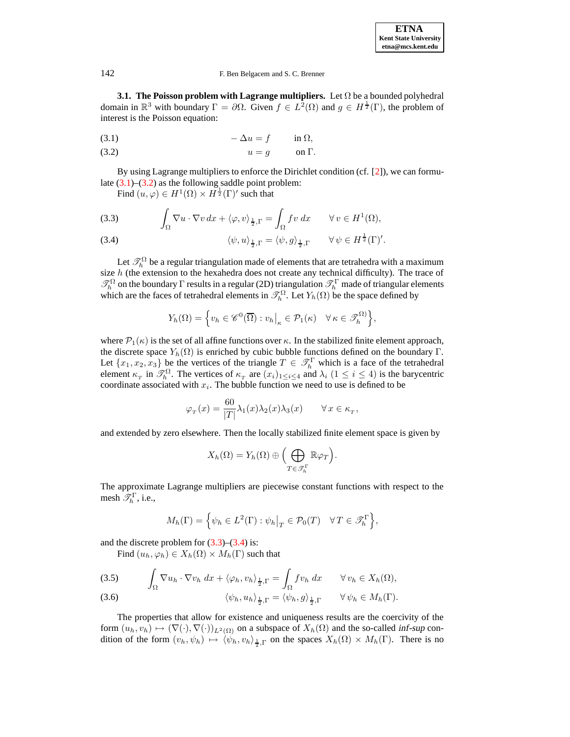## 142 F. Ben Belgacem and S. C. Brenner

**3.1. The Poisson problem with Lagrange multipliers.** Let Ω be a bounded polyhedral domain in  $\mathbb{R}^3$  with boundary  $\Gamma = \partial \Omega$ . Given  $f \in L^2(\Omega)$  and  $g \in H^{\frac{1}{2}}(\Gamma)$ , the problem of interest is the Poisson equation:

<span id="page-8-0"></span>
$$
(3.1) \t-\Delta u = f \t\t \text{in } \Omega,
$$

(3.2)  $u = g$  on  $\Gamma$ .

By using Lagrange multipliers to enforce the Dirichlet condition (cf. [\[2\]](#page-14-10)), we can formulate  $(3.1)$ – $(3.2)$  as the following saddle point problem:

Find  $(u, \varphi) \in H^1(\Omega) \times H^{\frac{1}{2}}(\Gamma)'$  such that

<span id="page-8-1"></span>(3.3) 
$$
\int_{\Omega} \nabla u \cdot \nabla v \, dx + \langle \varphi, v \rangle_{\frac{1}{2}, \Gamma} = \int_{\Omega} fv \, dx \qquad \forall v \in H^{1}(\Omega),
$$

(3.4) 
$$
\langle \psi, u \rangle_{\frac{1}{2}, \Gamma} = \langle \psi, g \rangle_{\frac{1}{2}, \Gamma} \qquad \forall \psi \in H^{\frac{1}{2}}(\Gamma)'.
$$

Let  $\mathcal{T}_h^{\Omega}$  be a regular triangulation made of elements that are tetrahedra with a maximum size  $h$  (the extension to the hexahedra does not create any technical difficulty). The trace of  $\mathcal{T}_h^{\Omega}$  on the boundary  $\Gamma$  results in a regular (2D) triangulation  $\mathcal{T}_h^{\Gamma}$  made of triangular elements which are the faces of tetrahedral elements in  $\mathcal{T}_h^{\Omega}$ . Let  $Y_h(\Omega)$  be the space defined by

$$
Y_h(\Omega) = \left\{ v_h \in \mathscr{C}^0(\overline{\Omega}) : v_h \big|_{\kappa} \in \mathcal{P}_1(\kappa) \quad \forall \, \kappa \in \mathcal{F}_h^{\Omega} \right\},\
$$

where  $\mathcal{P}_1(\kappa)$  is the set of all affine functions over  $\kappa$ . In the stabilized finite element approach, the discrete space  $Y_h(\Omega)$  is enriched by cubic bubble functions defined on the boundary Γ. Let  $\{x_1, x_2, x_3\}$  be the vertices of the triangle  $T \in \mathcal{T}_h^{\Gamma}$  which is a face of the tetrahedral element  $\kappa_T$  in  $\mathscr{T}_h^{\Omega}$ . The vertices of  $\kappa_T$  are  $(x_i)_{1 \leq i \leq 4}$  and  $\lambda_i$   $(1 \leq i \leq 4)$  is the barycentric coordinate associated with  $x_i$ . The bubble function we need to use is defined to be

$$
\varphi_T(x) = \frac{60}{|T|} \lambda_1(x) \lambda_2(x) \lambda_3(x) \qquad \forall x \in \kappa_T,
$$

and extended by zero elsewhere. Then the locally stabilized finite element space is given by

$$
X_h(\Omega) = Y_h(\Omega) \oplus \Big(\bigoplus_{T \in \mathcal{F}_h^{\Gamma}} \mathbb{R} \varphi_T\Big).
$$

The approximate Lagrange multipliers are piecewise constant functions with respect to the mesh  $\mathscr{T}_h^{\Gamma}$ , i.e.,

$$
M_h(\Gamma) = \left\{ \psi_h \in L^2(\Gamma) : \psi_h \big|_T \in \mathcal{P}_0(T) \quad \forall T \in \mathcal{F}_h^{\Gamma} \right\},\
$$

and the discrete problem for  $(3.3)$ – $(3.4)$  is:

Find  $(u_h, \varphi_h) \in X_h(\Omega) \times M_h(\Gamma)$  such that

<span id="page-8-2"></span>(3.5) 
$$
\int_{\Omega} \nabla u_h \cdot \nabla v_h \, dx + \langle \varphi_h, v_h \rangle_{\frac{1}{2},\Gamma} = \int_{\Omega} f v_h \, dx \qquad \forall v_h \in X_h(\Omega),
$$

$$
\langle \psi_h, u_h \rangle_{\frac{1}{2},\Gamma} = \langle \psi_h, g \rangle_{\frac{1}{2},\Gamma} \qquad \forall \psi_h \in M_h(\Gamma).
$$

The properties that allow for existence and uniqueness results are the coercivity of the form  $(u_h, v_h) \mapsto (\nabla(\cdot), \nabla(\cdot))_{L^2(\Omega)}$  on a subspace of  $X_h(\Omega)$  and the so-called inf-sup condition of the form  $(v_h, \psi_h) \mapsto \langle \psi_h, v_h \rangle_{\frac{1}{2},\Gamma}$  on the spaces  $X_h(\Omega) \times M_h(\Gamma)$ . There is no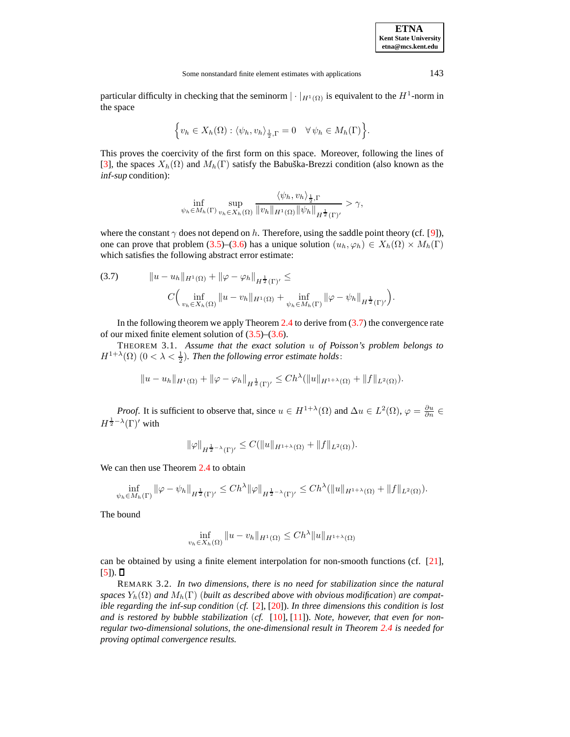| <b>ETNA</b>                  |
|------------------------------|
| <b>Kent State University</b> |
| etna@mcs.kent.edu            |

particular difficulty in checking that the seminorm  $|\cdot|_{H^1(\Omega)}$  is equivalent to the  $H^1$ -norm in the space

$$
\Big\{v_h\in X_h(\Omega):\langle\psi_h,v_h\rangle_{\frac{1}{2},\Gamma}=0\quad\forall\,\psi_h\in M_h(\Gamma)\Big\}.
$$

This proves the coercivity of the first form on this space. Moreover, following the lines of [\[3\]](#page-14-11), the spaces  $X_h(\Omega)$  and  $M_h(\Gamma)$  satisfy the Babuška-Brezzi condition (also known as the inf-sup condition):

$$
\inf_{\psi_h \in M_h(\Gamma)} \sup_{v_h \in X_h(\Omega)} \frac{\langle \psi_h, v_h \rangle_{\frac{1}{2},\Gamma}}{\|v_h\|_{H^1(\Omega)} \|\psi_h\|_{H^{\frac{1}{2}}(\Gamma)'} } > \gamma,
$$

where the constant  $\gamma$  does not depend on h. Therefore, using the saddle point theory (cf. [\[9\]](#page-14-12)), one can prove that problem [\(3.5\)](#page-8-2)–[\(3.6\)](#page-8-2) has a unique solution  $(u_h, \varphi_h) \in X_h(\Omega) \times M_h(\Gamma)$ which satisfies the following abstract error estimate:

<span id="page-9-0"></span>(3.7) 
$$
||u - u_h||_{H^1(\Omega)} + ||\varphi - \varphi_h||_{H^{\frac{1}{2}}(\Gamma)'} \leq
$$

$$
C \Big( \inf_{v_h \in X_h(\Omega)} ||u - v_h||_{H^1(\Omega)} + \inf_{\psi_h \in M_h(\Gamma)} ||\varphi - \psi_h||_{H^{\frac{1}{2}}(\Gamma)'} \Big).
$$

In the following theorem we apply Theorem  $2.4$  to derive from  $(3.7)$  the convergence rate of our mixed finite element solution of  $(3.5)$ – $(3.6)$ .

THEOREM 3.1. *Assume that the exact solution* u *of Poisson's problem belongs to*  $H^{1+\lambda}(\Omega)$   $(0 < \lambda < \frac{1}{2})$ . *Then the following error estimate holds:* 

$$
||u - u_h||_{H^1(\Omega)} + ||\varphi - \varphi_h||_{H^{\frac{1}{2}}(\Gamma)'} \le Ch^{\lambda}(||u||_{H^{1+\lambda}(\Omega)} + ||f||_{L^2(\Omega)}).
$$

*Proof.* It is sufficient to observe that, since  $u \in H^{1+\lambda}(\Omega)$  and  $\Delta u \in L^2(\Omega)$ ,  $\varphi = \frac{\partial u}{\partial n} \in$  $H^{\frac{1}{2}-\lambda}(\Gamma)'$  with

$$
\|\varphi\|_{H^{\frac{1}{2}-\lambda}(\Gamma)'} \leq C(\|u\|_{H^{1+\lambda}(\Omega)} + \|f\|_{L^2(\Omega)}).
$$

We can then use Theorem [2.4](#page-4-3) to obtain

$$
\inf_{\psi_h \in M_h(\Gamma)} \|\varphi - \psi_h\|_{H^{\frac{1}{2}}(\Gamma)'} \le Ch^{\lambda} \|\varphi\|_{H^{\frac{1}{2}-\lambda}(\Gamma)'} \le Ch^{\lambda} (\|u\|_{H^{1+\lambda}(\Omega)} + \|f\|_{L^2(\Omega)}).
$$

The bound

$$
\inf_{v_h \in X_h(\Omega)} \|u - v_h\|_{H^1(\Omega)} \le Ch^{\lambda} \|u\|_{H^{1+\lambda}(\Omega)}
$$

can be obtained by using a finite element interpolation for non-smooth functions (cf. [\[21\]](#page-14-13),  $[5]$ .

REMARK 3.2. *In two dimensions, there is no need for stabilization since the natural spaces*  $Y_h(\Omega)$  *and*  $M_h(\Gamma)$  (*built as described above with obvious modification*) *are compatible regarding the* inf-sup *condition* (*cf.* [\[2\]](#page-14-10), [\[20\]](#page-14-15)). *In three dimensions this condition is lost and is restored by bubble stabilization* (*cf.* [\[10\]](#page-14-16), [\[11\]](#page-14-17)). *Note, however, that even for nonregular two-dimensional solutions, the one-dimensional result in Theorem [2.4](#page-4-3) is needed for proving optimal convergence results.*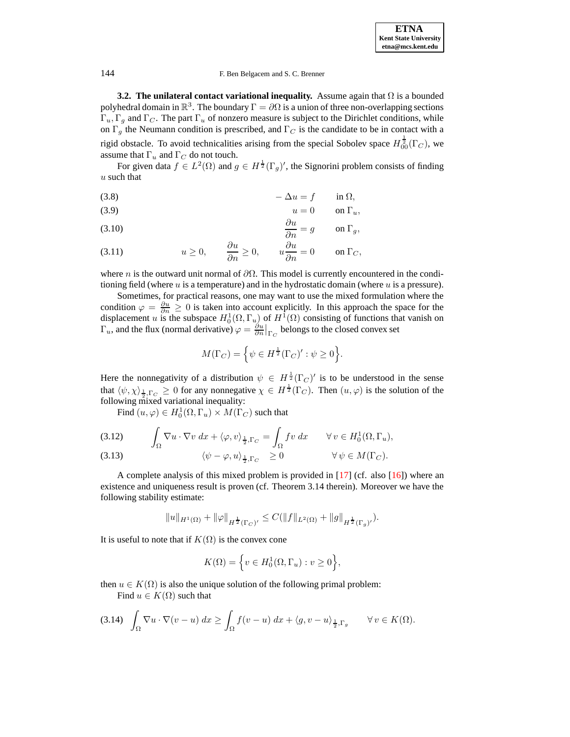**3.2. The unilateral contact variational inequality.** Assume again that Ω is a bounded polyhedral domain in  $\mathbb{R}^3$ . The boundary  $\Gamma = \partial \Omega$  is a union of three non-overlapping sections  $\Gamma_u, \Gamma_g$  and  $\Gamma_c$ . The part  $\Gamma_u$  of nonzero measure is subject to the Dirichlet conditions, while on  $\Gamma_g$  the Neumann condition is prescribed, and  $\Gamma_C$  is the candidate to be in contact with a rigid obstacle. To avoid technicalities arising from the special Sobolev space  $H^{\frac{1}{2}}_{00}(\Gamma_C)$ , we assume that  $\Gamma_u$  and  $\Gamma_c$  do not touch.

For given data  $f \in L^2(\Omega)$  and  $g \in H^{\frac{1}{2}}(\Gamma_g)'$ , the Signorini problem consists of finding  $u$  such that

<span id="page-10-0"></span>
$$
(3.8) \t-\Delta u = f \t\t \text{in } \Omega,
$$

(3.9) 
$$
u = 0 \qquad \text{on } \Gamma_u,
$$

$$
\frac{\partial u}{\partial u} \qquad \qquad \dots \qquad \frac{\partial u}{\partial u} \qquad \dots \qquad \frac{\partial u}{\partial u} \qquad \dots \qquad \frac{\partial u}{\partial u} \qquad \dots \qquad \frac{\partial u}{\partial u} \qquad \dots \qquad \frac{\partial u}{\partial u} \qquad \dots \qquad \frac{\partial u}{\partial u} \qquad \dots \qquad \frac{\partial u}{\partial u} \qquad \dots \qquad \frac{\partial u}{\partial u} \qquad \dots \qquad \frac{\partial u}{\partial u} \qquad \dots \qquad \frac{\partial u}{\partial u} \qquad \dots \qquad \frac{\partial u}{\partial u} \qquad \dots \qquad \frac{\partial u}{\partial u} \qquad \dots \qquad \frac{\partial u}{\partial u} \qquad \dots \qquad \frac{\partial u}{\partial u} \qquad \dots \qquad \frac{\partial u}{\partial u} \qquad \dots \qquad \frac{\partial u}{\partial u} \qquad \dots \qquad \frac{\partial u}{\partial u} \qquad \dots \qquad \frac{\partial u}{\partial u} \qquad \dots \qquad \frac{\partial u}{\partial u} \qquad \dots \qquad \frac{\partial u}{\partial u} \qquad \dots \qquad \frac{\partial u}{\partial u} \qquad \dots \qquad \frac{\partial u}{\partial u} \qquad \dots \qquad \frac{\partial u}{\partial u} \qquad \dots \qquad \frac{\partial u}{\partial u} \qquad \dots \qquad \frac{\partial u}{\partial u} \qquad \dots \qquad \frac{\partial u}{\partial u} \qquad \dots \qquad \frac{\partial u}{\partial u} \qquad \dots \qquad \frac{\partial u}{\partial u} \qquad \dots \qquad \frac{\partial u}{\partial u} \qquad \dots \qquad \frac{\partial u}{\partial u} \qquad \dots \qquad \frac{\partial u}{\partial u} \qquad \dots \qquad \frac{\partial u}{\partial u} \qquad \dots \qquad \frac{\partial u}{\partial u} \qquad \dots \qquad \frac{\partial u}{\partial u} \qquad \dots \qquad \frac{\partial u}{\partial u} \qquad \dots \qquad \frac{\partial u}{\partial u} \qquad \dots \qquad \frac{\partial u}{\partial u} \qquad \dots \qquad \frac{\partial u}{\partial u} \qquad \dots \qquad \frac{\partial u}{\partial u} \qquad \dots \qquad \frac{\partial u}{\partial u
$$

(3.10) 
$$
\frac{\partial u}{\partial n} = g \qquad \text{on } \Gamma_g,
$$

$$
\frac{\partial u}{\partial n}
$$

(3.11) 
$$
u \ge 0
$$
,  $\frac{\partial u}{\partial n} \ge 0$ ,  $u \frac{\partial u}{\partial n} = 0$  on  $\Gamma_C$ ,

where n is the outward unit normal of  $\partial\Omega$ . This model is currently encountered in the conditioning field (where u is a temperature) and in the hydrostatic domain (where  $u$  is a pressure).

Sometimes, for practical reasons, one may want to use the mixed formulation where the condition  $\varphi = \frac{\partial u}{\partial n} \ge 0$  is taken into account explicitly. In this approach the space for the displacement u is the subspace  $H_0^1(\Omega, \Gamma_u)$  of  $H^1(\Omega)$  consisting of functions that vanish on  $\Gamma_u$ , and the flux (normal derivative)  $\varphi = \frac{\partial u}{\partial n}|_{\Gamma_C}$  belongs to the closed convex set

$$
M(\Gamma_C) = \left\{ \psi \in H^{\frac{1}{2}}(\Gamma_C)' : \psi \ge 0 \right\}.
$$

Here the nonnegativity of a distribution  $\psi \in H^{\frac{1}{2}}(\Gamma_C)'$  is to be understood in the sense that  $\langle \psi, \chi \rangle_{\frac{1}{2}, \Gamma_C} \geq 0$  for any nonnegative  $\chi \in H^{\frac{1}{2}}(\Gamma_C)$ . Then  $(u, \varphi)$  is the solution of the following mixed variational inequality:

Find  $(u, \varphi) \in H_0^1(\Omega, \Gamma_u) \times M(\Gamma_C)$  such that

<span id="page-10-2"></span>(3.12) 
$$
\int_{\Omega} \nabla u \cdot \nabla v \, dx + \langle \varphi, v \rangle_{\frac{1}{2}, \Gamma_C} = \int_{\Omega} fv \, dx \qquad \forall v \in H_0^1(\Omega, \Gamma_u),
$$

(3.13) 
$$
\langle \psi - \varphi, u \rangle_{\frac{1}{2}, \Gamma_C} \geq 0 \qquad \forall \psi \in M(\Gamma_C).
$$

A complete analysis of this mixed problem is provided in  $[17]$  (cf. also  $[16]$ ) where an existence and uniqueness result is proven (cf. Theorem 3.14 therein). Moreover we have the following stability estimate:

$$
\|u\|_{H^1(\Omega)}+\|\varphi\|_{H^{\frac{1}{2}}(\Gamma_C)'}\leq C(\|f\|_{L^2(\Omega)}+\|g\|_{H^{\frac{1}{2}}(\Gamma_g)'}).
$$

It is useful to note that if  $K(\Omega)$  is the convex cone

$$
K(\Omega) = \left\{ v \in H_0^1(\Omega, \Gamma_u) : v \ge 0 \right\},\
$$

then  $u \in K(\Omega)$  is also the unique solution of the following primal problem: Find  $u \in K(\Omega)$  such that

<span id="page-10-1"></span>
$$
(3.14) \quad \int_{\Omega} \nabla u \cdot \nabla (v - u) \, dx \ge \int_{\Omega} f(v - u) \, dx + \langle g, v - u \rangle_{\frac{1}{2}, \Gamma_g} \qquad \forall v \in K(\Omega).
$$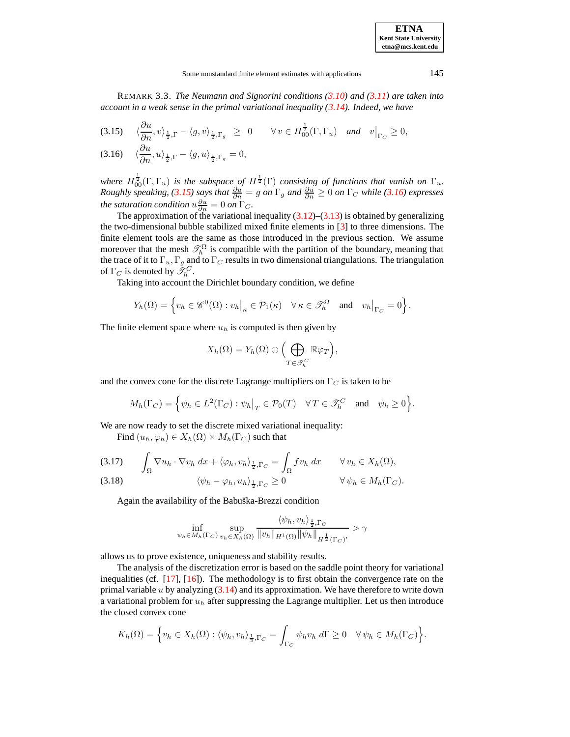#### Some nonstandard finite element estimates with applications 145

REMARK 3.3. *The Neumann and Signorini conditions [\(3.10\)](#page-10-0) and [\(3.11\)](#page-10-0) are taken into account in a weak sense in the primal variational inequality [\(3.14\)](#page-10-1). Indeed, we have*

<span id="page-11-0"></span>(3.15) 
$$
\langle \frac{\partial u}{\partial n}, v \rangle_{\frac{1}{2},\Gamma} - \langle g, v \rangle_{\frac{1}{2},\Gamma_g} \ge 0 \quad \forall v \in H_{00}^{\frac{1}{2}}(\Gamma, \Gamma_u) \text{ and } v|_{\Gamma_C} \ge 0,
$$
  
(3.16)  $\langle \frac{\partial u}{\partial n}, u \rangle_{\frac{1}{2},\Gamma} - \langle g, u \rangle_{\frac{1}{2},\Gamma_g} = 0,$ 

*where*  $H_{00}^{\frac{1}{2}}(\Gamma,\Gamma_u)$  *is the subspace of*  $H^{\frac{1}{2}}(\Gamma)$  *consisting of functions that vanish on*  $\Gamma_u$ . *Roughly speaking,* [\(3.15\)](#page-11-0) *says that*  $\frac{\partial u}{\partial n} = g$  *on*  $\Gamma_g$  *and*  $\frac{\partial u}{\partial n} \ge 0$  *on*  $\Gamma_C$  *while* [\(3.16\)](#page-11-0) *expresses the saturation condition*  $u \frac{\partial u}{\partial n} = 0$  *on*  $\Gamma_C$ *.* 

The approximation of the variational inequality  $(3.12)$ – $(3.13)$  is obtained by generalizing the two-dimensional bubble stabilized mixed finite elements in [\[3\]](#page-14-11) to three dimensions. The finite element tools are the same as those introduced in the previous section. We assume moreover that the mesh  $\mathcal{T}_h^{\Omega}$  is compatible with the partition of the boundary, meaning that the trace of it to  $\Gamma_u$ ,  $\Gamma_g$  and to  $\Gamma_c$  results in two dimensional triangulations. The triangulation of  $\Gamma_C$  is denoted by  $\tilde{\mathscr{T}}_h^C$ .

Taking into account the Dirichlet boundary condition, we define

$$
Y_h(\Omega) = \Big\{ v_h \in \mathscr{C}^0(\Omega) : v_h \big|_\kappa \in \mathcal{P}_1(\kappa) \quad \forall \, \kappa \in \mathscr{T}_h^{\Omega} \quad \text{and} \quad v_h \big|_{\Gamma_C} = 0 \Big\}.
$$

The finite element space where  $u_h$  is computed is then given by

$$
X_h(\Omega) = Y_h(\Omega) \oplus \Big(\bigoplus_{T \in \mathcal{T}_h^C} \mathbb{R} \varphi_T\Big),
$$

and the convex cone for the discrete Lagrange multipliers on  $\Gamma_C$  is taken to be

$$
M_h(\Gamma_C) = \left\{ \psi_h \in L^2(\Gamma_C) : \psi_h \big|_T \in \mathcal{P}_0(T) \quad \forall T \in \mathcal{F}_h^C \quad \text{and} \quad \psi_h \ge 0 \right\}.
$$

We are now ready to set the discrete mixed variational inequality:

Find  $(u_h, \varphi_h) \in X_h(\Omega) \times M_h(\Gamma_C)$  such that

(3.17) 
$$
\int_{\Omega} \nabla u_h \cdot \nabla v_h \, dx + \langle \varphi_h, v_h \rangle_{\frac{1}{2}, \Gamma_C} = \int_{\Omega} f v_h \, dx \qquad \forall v_h \in X_h(\Omega),
$$
  
(3.18) 
$$
\langle \psi_h - \varphi_h, u_h \rangle_{\frac{1}{2}, \Gamma_C} \geq 0 \qquad \forall \psi_h \in M_h(\Gamma_C).
$$

Again the availability of the Babuška-Brezzi condition

$$
\inf_{\psi_h \in M_h(\Gamma_C)} \sup_{v_h \in X_h(\Omega)} \frac{\langle \psi_h, v_h \rangle_{\frac{1}{2},\Gamma_C}}{\|v_h\|_{H^1(\Omega)} \|\psi_h\|_{H^{\frac{1}{2}}(\Gamma_C)'} } > \gamma
$$

allows us to prove existence, uniqueness and stability results.

The analysis of the discretization error is based on the saddle point theory for variational inequalities (cf. [\[17\]](#page-14-18), [\[16\]](#page-14-19)). The methodology is to first obtain the convergence rate on the primal variable  $u$  by analyzing  $(3.14)$  and its approximation. We have therefore to write down a variational problem for  $u_h$  after suppressing the Lagrange multiplier. Let us then introduce the closed convex cone

$$
K_h(\Omega) = \Big\{ v_h \in X_h(\Omega) : \langle \psi_h, v_h \rangle_{\frac{1}{2},\Gamma_C} = \int_{\Gamma_C} \psi_h v_h \ d\Gamma \geq 0 \quad \forall \psi_h \in M_h(\Gamma_C) \Big\}.
$$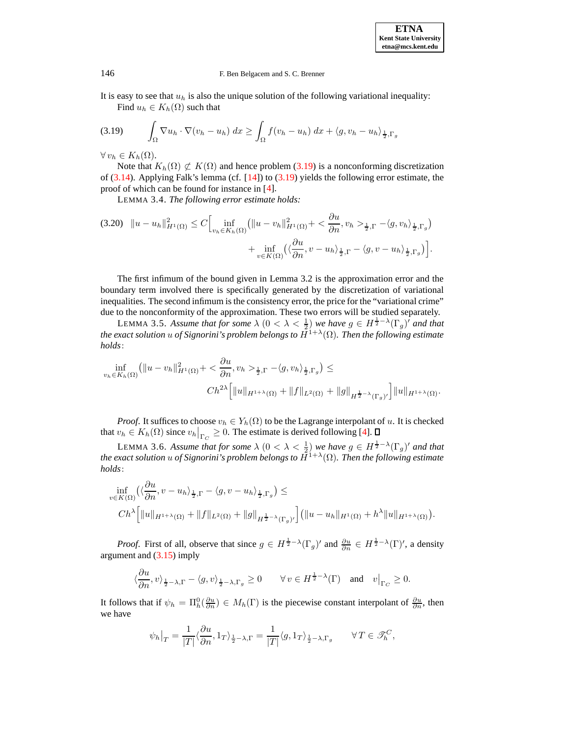It is easy to see that  $u_h$  is also the unique solution of the following variational inequality: Find  $u_h \in K_h(\Omega)$  such that

<span id="page-12-0"></span>
$$
(3.19) \qquad \int_{\Omega} \nabla u_h \cdot \nabla (v_h - u_h) \, dx \ge \int_{\Omega} f(v_h - u_h) \, dx + \langle g, v_h - u_h \rangle_{\frac{1}{2}, \Gamma_g}
$$

 $\forall v_h \in K_h(\Omega).$ 

Note that  $K_h(\Omega) \not\subset K(\Omega)$  and hence problem [\(3.19\)](#page-12-0) is a nonconforming discretization of  $(3.14)$ . Applying Falk's lemma (cf.  $[14]$ ) to  $(3.19)$  yields the following error estimate, the proof of which can be found for instance in [\[4\]](#page-14-21).

LEMMA 3.4. *The following error estimate holds:*

$$
(3.20) \quad \|u - u_h\|_{H^1(\Omega)}^2 \le C \Big[ \inf_{v_h \in K_h(\Omega)} \left( \|u - v_h\|_{H^1(\Omega)}^2 + \frac{\partial u}{\partial n}, v_h >_{\frac{1}{2}, \Gamma} - \langle g, v_h \rangle_{\frac{1}{2}, \Gamma_g} \right) + \inf_{v \in K(\Omega)} \left( \langle \frac{\partial u}{\partial n}, v - u_h \rangle_{\frac{1}{2}, \Gamma} - \langle g, v - u_h \rangle_{\frac{1}{2}, \Gamma_g} \right) \Big].
$$

The first infimum of the bound given in Lemma 3.2 is the approximation error and the boundary term involved there is specifically generated by the discretization of variational inequalities. The second infimum is the consistency error, the price for the "variational crime" due to the nonconformity of the approximation. These two errors will be studied separately.

LEMMA 3.5. Assume that for some  $\lambda$   $(0 < \lambda < \frac{1}{2})$  we have  $g \in H^{\frac{1}{2}-\lambda}(\Gamma_g)^t$  and that *the exact solution* u *of Signorini's problem belongs to* H1+<sup>λ</sup> (Ω)*. Then the following estimate holds*:

$$
\inf_{v_h \in K_h(\Omega)} \left( \|u - v_h\|_{H^1(\Omega)}^2 + \langle \frac{\partial u}{\partial n}, v_h \rangle_{\frac{1}{2},\Gamma} - \langle g, v_h \rangle_{\frac{1}{2},\Gamma_g} \right) \le
$$
  

$$
Ch^{2\lambda} \Big[ \|u\|_{H^{1+\lambda}(\Omega)} + \|f\|_{L^2(\Omega)} + \|g\|_{H^{\frac{1}{2}-\lambda}(\Gamma_g)'} \Big] \|u\|_{H^{1+\lambda}(\Omega)}.
$$

*Proof.* It suffices to choose  $v_h \in Y_h(\Omega)$  to be the Lagrange interpolant of u. It is checked that  $v_h \in K_h(\Omega)$  since  $v_h\big|_{\Gamma_C} \geq 0$ . The estimate is derived following [\[4\]](#page-14-21).

LEMMA 3.6. Assume that for some  $\lambda$   $(0 < \lambda < \frac{1}{2})$  we have  $g \in H^{\frac{1}{2}-\lambda}(\Gamma_g)'$  and that *the exact solution* u *of Signorini's problem belongs to* H1+<sup>λ</sup> (Ω)*. Then the following estimate holds*:

$$
\inf_{v \in K(\Omega)} \left( \langle \frac{\partial u}{\partial n}, v - u_h \rangle_{\frac{1}{2},\Gamma} - \langle g, v - u_h \rangle_{\frac{1}{2},\Gamma_g} \right) \le
$$
\n
$$
Ch^{\lambda} \left[ \|u\|_{H^{1+\lambda}(\Omega)} + \|f\|_{L^{2}(\Omega)} + \|g\|_{H^{\frac{1}{2}-\lambda}(\Gamma_g)'} \right] \left( \|u - u_h\|_{H^{1}(\Omega)} + h^{\lambda} \|u\|_{H^{1+\lambda}(\Omega)} \right).
$$

*Proof.* First of all, observe that since  $g \in H^{\frac{1}{2}-\lambda}(\Gamma_g)'$  and  $\frac{\partial u}{\partial n} \in H^{\frac{1}{2}-\lambda}(\Gamma)'$ , a density argument and [\(3.15\)](#page-11-0) imply

$$
\langle \frac{\partial u}{\partial n}, v \rangle_{\frac{1}{2}-\lambda, \Gamma} - \langle g, v \rangle_{\frac{1}{2}-\lambda, \Gamma_g} \ge 0 \qquad \forall \, v \in H^{\frac{1}{2}-\lambda}(\Gamma) \quad \text{and} \quad v\big|_{\Gamma_C} \ge 0.
$$

It follows that if  $\psi_h = \Pi_h^0(\frac{\partial u}{\partial n}) \in M_h(\Gamma)$  is the piecewise constant interpolant of  $\frac{\partial u}{\partial n}$ , then we have

$$
\psi_h\big|_T = \frac{1}{|T|} \langle \frac{\partial u}{\partial n}, 1_T \rangle_{\frac{1}{2} - \lambda, \Gamma} = \frac{1}{|T|} \langle g, 1_T \rangle_{\frac{1}{2} - \lambda, \Gamma_g} \qquad \forall T \in \mathcal{F}_h^C,
$$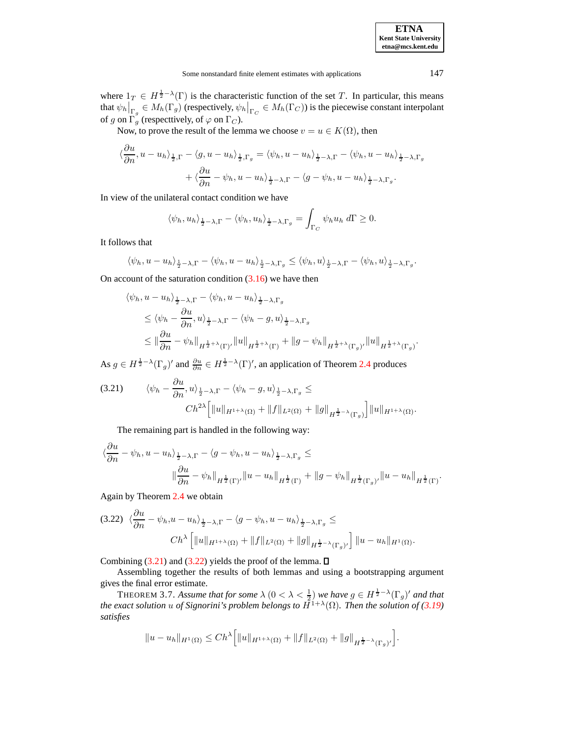where  $1_T \in H^{\frac{1}{2}-\lambda}(\Gamma)$  is the characteristic function of the set T. In particular, this means that  $\psi_h\big|_{\Gamma_g}\in M_h(\Gamma_g)$  (respectively,  $\psi_h\big|_{\Gamma_G}\in M_h(\Gamma_G)$ ) is the piecewise constant interpolant of g on  $\Gamma_g$  (respecttively, of  $\varphi$  on  $\Gamma_C$ ).

Now, to prove the result of the lemma we choose  $v = u \in K(\Omega)$ , then

$$
\langle \frac{\partial u}{\partial n}, u - u_h \rangle_{\frac{1}{2},\Gamma} - \langle g, u - u_h \rangle_{\frac{1}{2},\Gamma_g} = \langle \psi_h, u - u_h \rangle_{\frac{1}{2} - \lambda, \Gamma} - \langle \psi_h, u - u_h \rangle_{\frac{1}{2} - \lambda, \Gamma_g}
$$

$$
+ \langle \frac{\partial u}{\partial n} - \psi_h, u - u_h \rangle_{\frac{1}{2} - \lambda, \Gamma} - \langle g - \psi_h, u - u_h \rangle_{\frac{1}{2} - \lambda, \Gamma_g}.
$$

In view of the unilateral contact condition we have

$$
\langle \psi_h, u_h \rangle_{\frac{1}{2}-\lambda, \Gamma} - \langle \psi_h, u_h \rangle_{\frac{1}{2}-\lambda, \Gamma_g} = \int_{\Gamma_C} \psi_h u_h \ d\Gamma \ge 0.
$$

It follows that

$$
\langle \psi_h, u - u_h \rangle_{\frac{1}{2} - \lambda, \Gamma} - \langle \psi_h, u - u_h \rangle_{\frac{1}{2} - \lambda, \Gamma_g} \leq \langle \psi_h, u \rangle_{\frac{1}{2} - \lambda, \Gamma} - \langle \psi_h, u \rangle_{\frac{1}{2} - \lambda, \Gamma_g}.
$$

On account of the saturation condition  $(3.16)$  we have then

$$
\langle \psi_h, u - u_h \rangle_{\frac{1}{2} - \lambda, \Gamma} - \langle \psi_h, u - u_h \rangle_{\frac{1}{2} - \lambda, \Gamma_g}
$$
  
\n
$$
\leq \langle \psi_h - \frac{\partial u}{\partial n}, u \rangle_{\frac{1}{2} - \lambda, \Gamma} - \langle \psi_h - g, u \rangle_{\frac{1}{2} - \lambda, \Gamma_g}
$$
  
\n
$$
\leq \|\frac{\partial u}{\partial n} - \psi_h\|_{H^{\frac{1}{2} + \lambda}(\Gamma)'} \|u\|_{H^{\frac{1}{2} + \lambda}(\Gamma)} + \|g - \psi_h\|_{H^{\frac{1}{2} + \lambda}(\Gamma_g)'} \|u\|_{H^{\frac{1}{2} + \lambda}(\Gamma_g)}.
$$

As  $g \in H^{\frac{1}{2}-\lambda}(\Gamma_g)'$  and  $\frac{\partial u}{\partial n} \in H^{\frac{1}{2}-\lambda}(\Gamma)'$ , an application of Theorem [2.4](#page-4-3) produces

<span id="page-13-0"></span>
$$
(3.21) \qquad \langle \psi_h - \frac{\partial u}{\partial n}, u \rangle_{\frac{1}{2} - \lambda, \Gamma} - \langle \psi_h - g, u \rangle_{\frac{1}{2} - \lambda, \Gamma_g} \le
$$

$$
Ch^{2\lambda} \left[ \|u\|_{H^{1+\lambda}(\Omega)} + \|f\|_{L^2(\Omega)} + \|g\|_{H^{\frac{1}{2}-\lambda}(\Gamma_g)} \right] \|u\|_{H^{1+\lambda}(\Omega)}.
$$

The remaining part is handled in the following way:

$$
\langle \frac{\partial u}{\partial n} - \psi_h, u - u_h \rangle_{\frac{1}{2} - \lambda, \Gamma} - \langle g - \psi_h, u - u_h \rangle_{\frac{1}{2} - \lambda, \Gamma_g} \le
$$
  

$$
\|\frac{\partial u}{\partial n} - \psi_h\|_{H^{\frac{1}{2}}(\Gamma)'} \|u - u_h\|_{H^{\frac{1}{2}}(\Gamma)} + \|g - \psi_h\|_{H^{\frac{1}{2}}(\Gamma_g)'} \|u - u_h\|_{H^{\frac{1}{2}}(\Gamma)}.
$$

Again by Theorem [2.4](#page-4-3) we obtain

<span id="page-13-1"></span>
$$
(3.22) \langle \frac{\partial u}{\partial n} - \psi_h, u - u_h \rangle_{\frac{1}{2} - \lambda, \Gamma} - \langle g - \psi_h, u - u_h \rangle_{\frac{1}{2} - \lambda, \Gamma_g} \leq
$$
  

$$
Ch^{\lambda} \left[ \|u\|_{H^{1+\lambda}(\Omega)} + \|f\|_{L^2(\Omega)} + \|g\|_{H^{\frac{1}{2}-\lambda}(\Gamma_g)'} \right] \|u - u_h\|_{H^1(\Omega)}.
$$

Combining  $(3.21)$  and  $(3.22)$  yields the proof of the lemma.  $\Box$ 

Assembling together the results of both lemmas and using a bootstrapping argument gives the final error estimate.

THEOREM 3.7. Assume that for some  $\lambda$   $(0 < \lambda < \frac{1}{2})$  we have  $g \in H^{\frac{1}{2}-\lambda}(\Gamma_g)'$  and that *the exact solution*  $u$  *of Signorini's problem belongs to*  $\tilde{H}^{1+\lambda}(\Omega)$ *. Then the solution of [\(3.19\)](#page-12-0) satisfies*

$$
||u - u_h||_{H^1(\Omega)} \le Ch^{\lambda} \Big[ ||u||_{H^{1+\lambda}(\Omega)} + ||f||_{L^2(\Omega)} + ||g||_{H^{\frac{1}{2}-\lambda}(\Gamma_g)'} \Big].
$$